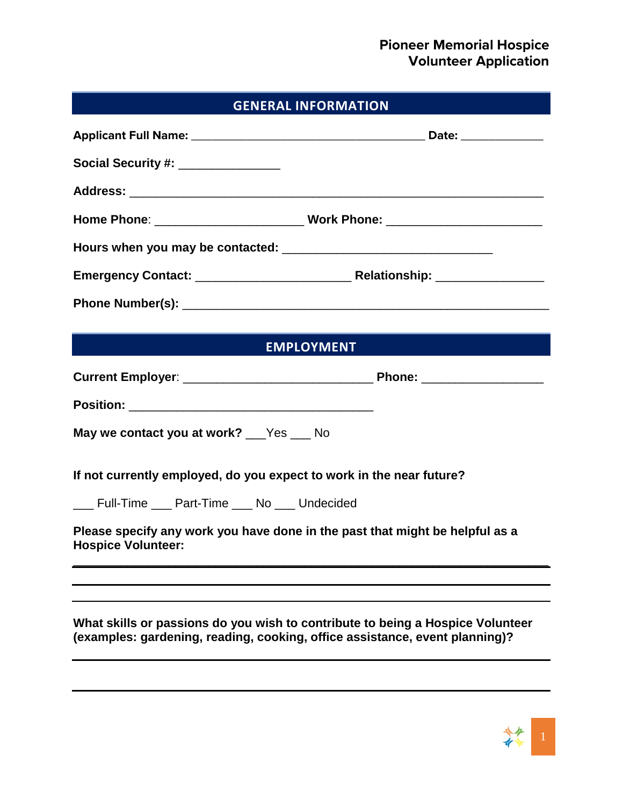# **GENERAL INFORMATION**

| Social Security #: _______________                                   |                                                                                                                                                               |
|----------------------------------------------------------------------|---------------------------------------------------------------------------------------------------------------------------------------------------------------|
|                                                                      |                                                                                                                                                               |
|                                                                      |                                                                                                                                                               |
|                                                                      |                                                                                                                                                               |
|                                                                      |                                                                                                                                                               |
|                                                                      |                                                                                                                                                               |
|                                                                      |                                                                                                                                                               |
|                                                                      | <b>EMPLOYMENT</b>                                                                                                                                             |
|                                                                      |                                                                                                                                                               |
|                                                                      |                                                                                                                                                               |
| May we contact you at work? ___Yes ___ No                            |                                                                                                                                                               |
| If not currently employed, do you expect to work in the near future? |                                                                                                                                                               |
| ___ Full-Time ___ Part-Time ___ No ___ Undecided                     |                                                                                                                                                               |
| <b>Hospice Volunteer:</b>                                            | Please specify any work you have done in the past that might be helpful as a                                                                                  |
|                                                                      |                                                                                                                                                               |
|                                                                      |                                                                                                                                                               |
|                                                                      | What skills or passions do you wish to contribute to being a Hospice Volunteer<br>(examples: gardening, reading, cooking, office assistance, event planning)? |
|                                                                      |                                                                                                                                                               |

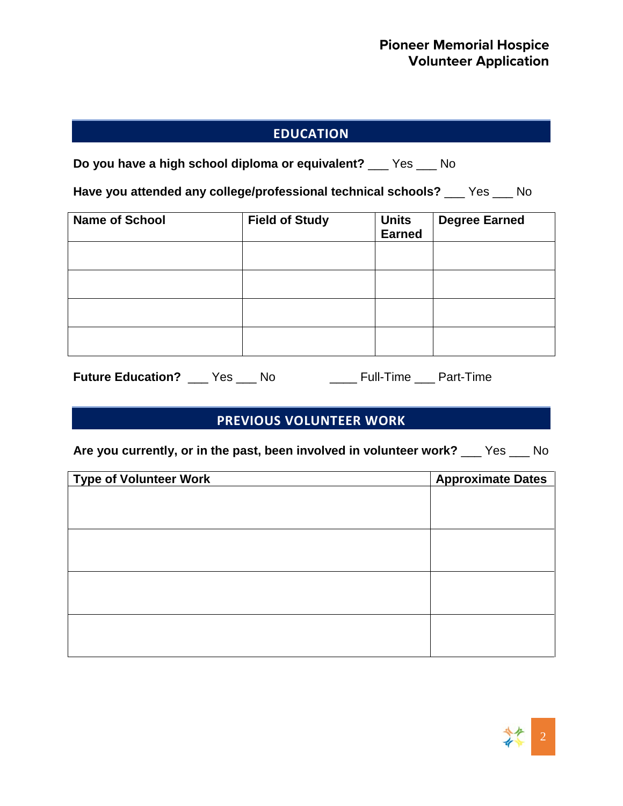## **EDUCATION**

**Do you have a high school diploma or equivalent?** \_\_\_ Yes \_\_\_ No

**Have you attended any college/professional technical schools?** \_\_\_ Yes \_\_\_ No

| <b>Name of School</b> | <b>Field of Study</b> | <b>Units</b><br><b>Earned</b> | <b>Degree Earned</b> |
|-----------------------|-----------------------|-------------------------------|----------------------|
|                       |                       |                               |                      |
|                       |                       |                               |                      |
|                       |                       |                               |                      |
|                       |                       |                               |                      |

**Future Education?** \_\_\_ Yes \_\_\_ No \_\_\_\_ Full-Time \_\_\_ Part-Time

#### **PREVIOUS VOLUNTEER WORK**

**Are you currently, or in the past, been involved in volunteer work?** \_\_\_ Yes \_\_\_ No

| <b>Type of Volunteer Work</b> | <b>Approximate Dates</b> |
|-------------------------------|--------------------------|
|                               |                          |
|                               |                          |
|                               |                          |
|                               |                          |
|                               |                          |
|                               |                          |
|                               |                          |
|                               |                          |
|                               |                          |
|                               |                          |
|                               |                          |
|                               |                          |

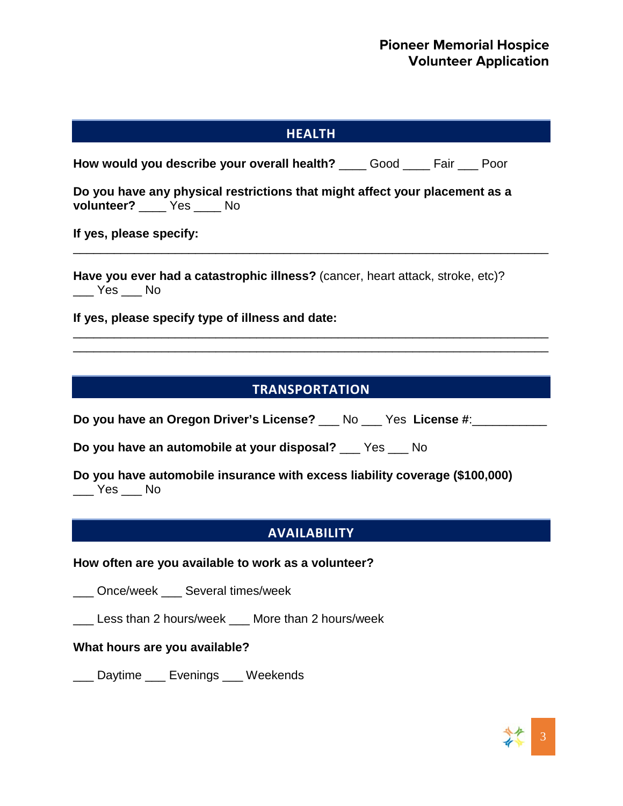| <b>HEALTH</b>                                                                                                                   |
|---------------------------------------------------------------------------------------------------------------------------------|
|                                                                                                                                 |
| How would you describe your overall health? ____ Good ____ Fair ___ Poor                                                        |
| Do you have any physical restrictions that might affect your placement as a<br>volunteer? _____ Yes _____ No                    |
| If yes, please specify:                                                                                                         |
| Have you ever had a catastrophic illness? (cancer, heart attack, stroke, etc)?                                                  |
| If yes, please specify type of illness and date:                                                                                |
|                                                                                                                                 |
|                                                                                                                                 |
| <b>TRANSPORTATION</b>                                                                                                           |
| Do you have an Oregon Driver's License? __ No __ Yes License #:_____                                                            |
| Do you have an automobile at your disposal? __ Yes __ No                                                                        |
| Do you have automobile insurance with excess liability coverage (\$100,000)<br>$\rule{1em}{0.15mm}$ Yes $\rule{1em}{0.15mm}$ No |
| <b>AVAILABILITY</b>                                                                                                             |
| How often are you available to work as a volunteer?                                                                             |
| ___ Once/week ___ Several times/week                                                                                            |
| Less than 2 hours/week ___ More than 2 hours/week                                                                               |
| What hours are you available?                                                                                                   |
| Daytime ____ Evenings ____ Weekends                                                                                             |

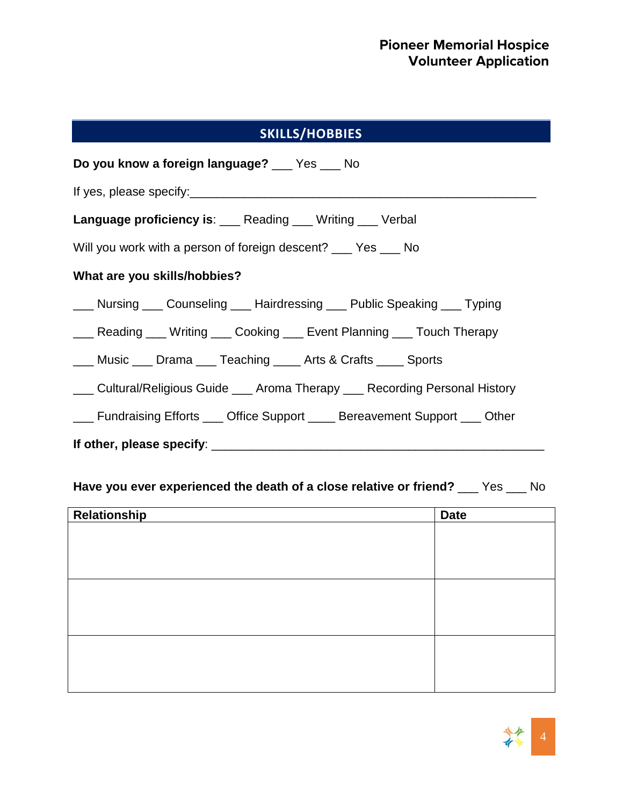# **SKILLS/HOBBIES**

| Do you know a foreign language? ___ Yes ___ No                                |  |  |
|-------------------------------------------------------------------------------|--|--|
|                                                                               |  |  |
| <b>Language proficiency is:</b> Reading Mriting Nerbal                        |  |  |
| Will you work with a person of foreign descent? ____ Yes ____ No              |  |  |
| What are you skills/hobbies?                                                  |  |  |
| ___ Nursing ___ Counseling ___ Hairdressing ___ Public Speaking ___ Typing    |  |  |
| ___ Reading ___ Writing ___ Cooking ___ Event Planning ___ Touch Therapy      |  |  |
| <u>___</u> Music ___ Drama ___ Teaching ____ Arts & Crafts ____ Sports        |  |  |
| ___ Cultural/Religious Guide ___ Aroma Therapy ___ Recording Personal History |  |  |
| ___ Fundraising Efforts ___ Office Support ____ Bereavement Support ___ Other |  |  |
|                                                                               |  |  |

# **Have you ever experienced the death of a close relative or friend?** \_\_\_ Yes \_\_\_ No

| Relationship | <b>Date</b> |
|--------------|-------------|
|              |             |
|              |             |
|              |             |
|              |             |
|              |             |
|              |             |
|              |             |
|              |             |
|              |             |

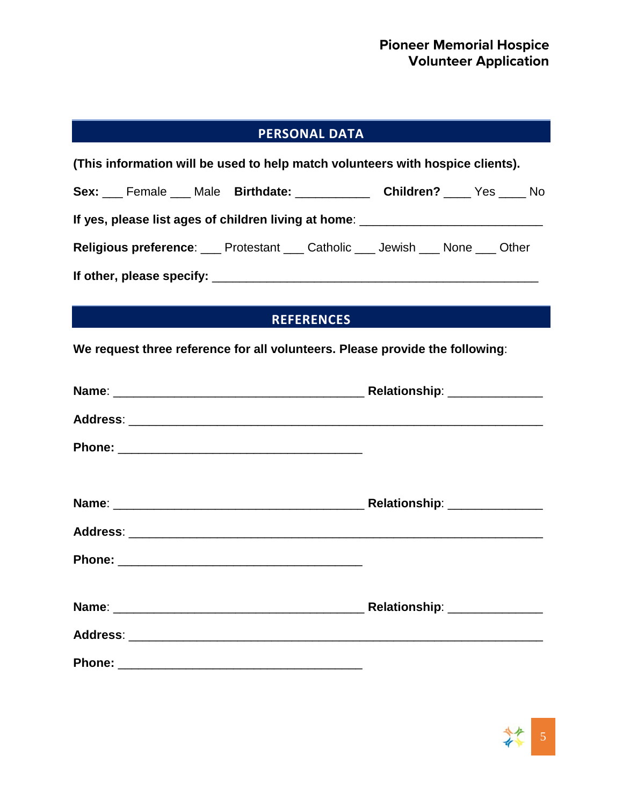# **PERSONAL DATA**

| (This information will be used to help match volunteers with hospice clients).         |  |
|----------------------------------------------------------------------------------------|--|
| Sex: Female Male Birthdate: Children? No No No                                         |  |
| If yes, please list ages of children living at home: ___________________________       |  |
| <b>Religious preference:</b> ___ Protestant ___ Catholic ___ Jewish ___ None ___ Other |  |
|                                                                                        |  |

### **REFERENCES**

**We request three reference for all volunteers. Please provide the following**:

| Relationship: ______________ |  |
|------------------------------|--|
|                              |  |
|                              |  |
|                              |  |
|                              |  |
|                              |  |
|                              |  |
|                              |  |
|                              |  |

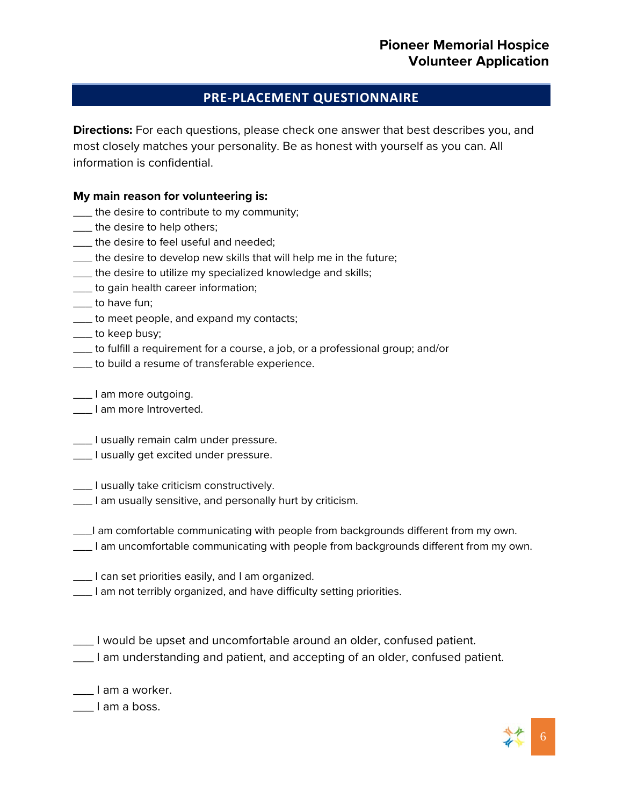#### **PRE-PLACEMENT QUESTIONNAIRE**

**Directions:** For each questions, please check one answer that best describes you, and most closely matches your personality. Be as honest with yourself as you can. All information is confidential.

#### **My main reason for volunteering is:**

- \_\_\_ the desire to contribute to my community;
- \_\_\_ the desire to help others;
- \_\_\_ the desire to feel useful and needed;
- \_\_\_ the desire to develop new skills that will help me in the future;
- \_\_\_ the desire to utilize my specialized knowledge and skills;
- \_\_\_ to gain health career information;
- \_\_\_ to have fun;
- \_\_\_ to meet people, and expand my contacts;
- \_\_\_ to keep busy;
- \_\_\_ to fulfill a requirement for a course, a job, or a professional group; and/or
- \_\_\_ to build a resume of transferable experience.
- \_\_\_ I am more outgoing.
- \_\_\_ I am more Introverted.
- \_\_\_ I usually remain calm under pressure.
- **\_\_\_\_** I usually get excited under pressure.
- \_\_\_ I usually take criticism constructively.
- \_\_\_ I am usually sensitive, and personally hurt by criticism.
- \_\_\_I am comfortable communicating with people from backgrounds different from my own.
- \_\_\_ I am uncomfortable communicating with people from backgrounds different from my own.
- \_\_\_ I can set priorities easily, and I am organized.
- \_\_\_ I am not terribly organized, and have difficulty setting priorities.
- \_\_\_ I would be upset and uncomfortable around an older, confused patient.
- \_\_\_ I am understanding and patient, and accepting of an older, confused patient.
- \_\_\_ I am a worker.

\_\_\_ I am a boss.